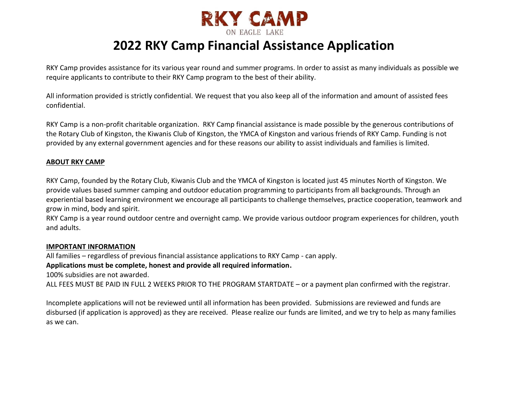

# **2022 RKY Camp Financial Assistance Application**

RKY Camp provides assistance for its various year round and summer programs. In order to assist as many individuals as possible we require applicants to contribute to their RKY Camp program to the best of their ability.

All information provided is strictly confidential. We request that you also keep all of the information and amount of assisted fees confidential.

RKY Camp is a non-profit charitable organization. RKY Camp financial assistance is made possible by the generous contributions of the Rotary Club of Kingston, the Kiwanis Club of Kingston, the YMCA of Kingston and various friends of RKY Camp. Funding is not provided by any external government agencies and for these reasons our ability to assist individuals and families is limited.

### **ABOUT RKY CAMP**

RKY Camp, founded by the Rotary Club, Kiwanis Club and the YMCA of Kingston is located just 45 minutes North of Kingston. We provide values based summer camping and outdoor education programming to participants from all backgrounds. Through an experiential based learning environment we encourage all participants to challenge themselves, practice cooperation, teamwork and grow in mind, body and spirit.

RKY Camp is a year round outdoor centre and overnight camp. We provide various outdoor program experiences for children, youth and adults.

#### **IMPORTANT INFORMATION**

All families – regardless of previous financial assistance applications to RKY Camp - can apply.

## **Applications must be complete, honest and provide all required information.**

100% subsidies are not awarded.

ALL FEES MUST BE PAID IN FULL 2 WEEKS PRIOR TO THE PROGRAM STARTDATE – or a payment plan confirmed with the registrar.

Incomplete applications will not be reviewed until all information has been provided. Submissions are reviewed and funds are disbursed (if application is approved) as they are received. Please realize our funds are limited, and we try to help as many families as we can.